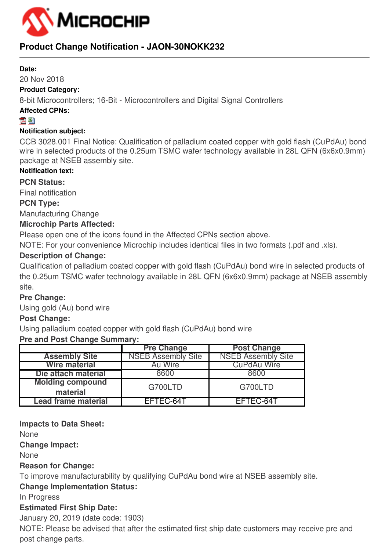

## **Product Change Notification - JAON-30NOKK232**

#### **Date:**

#### 20 Nov 2018

#### **Product Category:**

8-bit Microcontrollers; 16-Bit - Microcontrollers and Digital Signal Controllers

#### **Affected CPNs:**

#### 지평

#### **Notification subject:**

CCB 3028.001 Final Notice: Qualification of palladium coated copper with gold flash (CuPdAu) bond wire in selected products of the 0.25um TSMC wafer technology available in 28L QFN (6x6x0.9mm) package at NSEB assembly site.

#### **Notification text:**

**PCN Status:**

Final notification

#### **PCN Type:**

Manufacturing Change

#### **Microchip Parts Affected:**

Please open one of the icons found in the Affected CPNs section above.

NOTE: For your convenience Microchip includes identical files in two formats (.pdf and .xls).

### **Description of Change:**

Qualification of palladium coated copper with gold flash (CuPdAu) bond wire in selected products of the 0.25um TSMC wafer technology available in 28L QFN (6x6x0.9mm) package at NSEB assembly site.

### **Pre Change:**

Using gold (Au) bond wire

#### **Post Change:**

Using palladium coated copper with gold flash (CuPdAu) bond wire

#### **Pre and Post Change Summary:**

|                                     | <b>Pre Change</b>         | <b>Post Change</b>        |
|-------------------------------------|---------------------------|---------------------------|
| <b>Assembly Site</b>                | <b>NSEB Assembly Site</b> | <b>NSEB Assembly Site</b> |
| <b>Wire material</b>                | Au Wire                   | <b>CuPdAu Wire</b>        |
| Die attach material                 | $-9600$                   | 8600                      |
| <b>Molding compound</b><br>material | G700LTD                   | G700LTD                   |
| Lead frame material                 | EFTEC-64T                 | EFTEC-64T                 |

#### **Impacts to Data Sheet:**

None

**Change Impact:**

None

#### **Reason for Change:**

To improve manufacturability by qualifying CuPdAu bond wire at NSEB assembly site.

### **Change Implementation Status:**

In Progress

### **Estimated First Ship Date:**

January 20, 2019 (date code: 1903)

NOTE: Please be advised that after the estimated first ship date customers may receive pre and post change parts.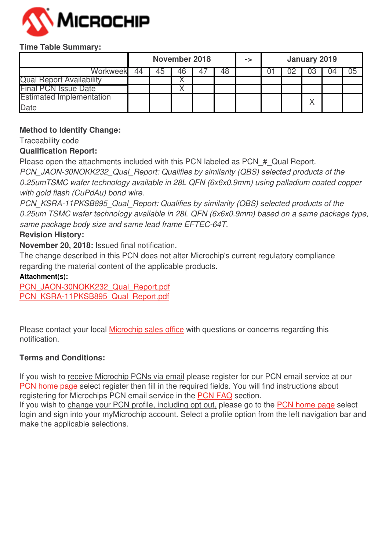

#### **Time Table Summary:**

|                                 | November 2018 |  |  | -> |  | January 2019 |  |    |    |
|---------------------------------|---------------|--|--|----|--|--------------|--|----|----|
| Workweekl                       | 44            |  |  |    |  |              |  | ىن | JC |
| <b>Qual Report Availability</b> |               |  |  |    |  |              |  |    |    |
| <b>Final PCN Issue Date</b>     |               |  |  |    |  |              |  |    |    |
| <b>Estimated Implementation</b> |               |  |  |    |  |              |  |    |    |
| Date                            |               |  |  |    |  |              |  |    |    |

#### **Method to Identify Change:**

Traceability code

#### **Qualification Report:**

Please open the attachments included with this PCN labeled as PCN # Qual Report.

*PCN\_JAON-30NOKK232\_Qual\_Report: Qualifies by similarity (QBS) selected products of the 0.25umTSMC wafer technology available in 28L QFN (6x6x0.9mm) using palladium coated copper with gold flash (CuPdAu) bond wire.*

*PCN\_KSRA-11PKSB895\_Qual\_Report: Qualifies by similarity (QBS) selected products of the 0.25um TSMC wafer technology available in 28L QFN (6x6x0.9mm) based on a same package type, same package body size and same lead frame EFTEC-64T.*

#### **Revision History:**

**November 20, 2018:** Issued final notification.

The change described in this PCN does not alter Microchip's current regulatory compliance regarding the material content of the applicable products.

#### **Attachment(s):**

[PCN\\_JAON-30NOKK232\\_Qual\\_Report.pdf](https://www.microchip.com/mymicrochip/NotificationDetails.aspx?id=11853&file=PCN_JAON-30NOKK232_Qual_Report.pdf) [PCN\\_KSRA-11PKSB895\\_Qual\\_Report.pdf](https://www.microchip.com/mymicrochip/NotificationDetails.aspx?id=11853&file=PCN_KSRA-11PKSB895_Qual_Report.pdf)

Please contact your local [Microchip sales office](http://www.microchip.com/distributors/SalesHome.aspx) with questions or concerns regarding this notification.

#### **Terms and Conditions:**

If you wish to receive Microchip PCNs via email please register for our PCN email service at our [PCN home page](http://www.microchip.com/pcn) select register then fill in the required fields. You will find instructions about registering for Microchips PCN email service in the [PCN FAQ](http://www.microchip.com/pcn/faqs) section.

If you wish to change your PCN profile, including opt out, please go to the [PCN home page](http://www.microchip.com/pcn) select login and sign into your myMicrochip account. Select a profile option from the left navigation bar and make the applicable selections.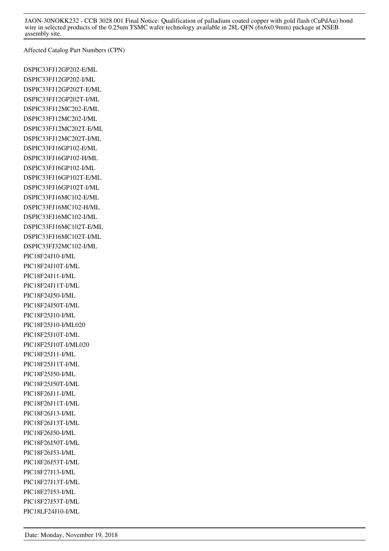JAON-30NOKK232 - CCB 3028.001 Final Notice: Qualification of palladium coated copper with gold flash (CuPdAu) bond wire in selected products of the 0.25um TSMC wafer technology available in 28L QFN (6x6x0.9mm) package at NSEB assembly site.

Affected Catalog Part Numbers (CPN)

DSPIC33FJ12GP202-E/ML DSPIC33FJ12GP202-I/ML DSPIC33FJ12GP202T-E/ML DSPIC33FJ12GP202T-I/ML DSPIC33FJ12MC202-E/ML DSPIC33FJ12MC202-I/ML DSPIC33FJ12MC202T-E/ML DSPIC33FJ12MC202T-I/ML DSPIC33FJ16GP102-E/ML DSPIC33FJ16GP102-H/ML DSPIC33FJ16GP102-I/ML DSPIC33FJ16GP102T-E/ML DSPIC33FJ16GP102T-I/ML DSPIC33FJ16MC102-E/ML DSPIC33FJ16MC102-H/ML DSPIC33FJ16MC102-I/ML DSPIC33FJ16MC102T-E/ML DSPIC33FJ16MC102T-I/ML DSPIC33FJ32MC102-I/ML PIC18F24J10-I/ML PIC18F24J10T-I/ML PIC18F24J11-I/ML PIC18F24J11T-I/ML PIC18F24J50-I/ML PIC18F24J50T-I/ML PIC18F25J10-I/ML PIC18F25J10-I/ML020 PIC18F25J10T-I/ML PIC18F25J10T-I/ML020 PIC18F25J11-I/ML PIC18F25J11T-I/ML PIC18F25J50-I/ML PIC18F25J50T-I/ML PIC18F26J11-I/ML PIC18F26J11T-I/ML PIC18F26J13-I/ML PIC18F26J13T-I/ML PIC18F26J50-I/ML PIC18F26J50T-I/ML PIC18F26J53-I/ML PIC18F26J53T-I/ML PIC18F27J13-I/ML PIC18F27J13T-I/ML PIC18F27J53-I/ML PIC18F27J53T-I/ML PIC18LF24J10-I/ML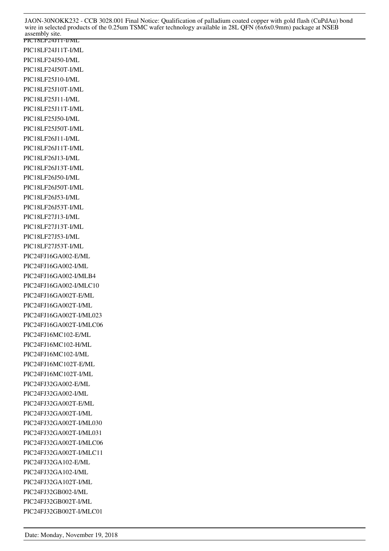PIC18LF24J11-I/ML PIC18LF24J11T-I/ML PIC18LF24J50-I/ML PIC18LF24J50T-I/ML PIC18LF25J10-I/ML PIC18LF25J10T-I/ML PIC18LF25J11-I/ML PIC18LF25J11T-I/ML PIC18LF25J50-I/ML PIC18LF25J50T-I/ML PIC18LF26J11-I/ML PIC18LF26J11T-I/ML PIC18LF26J13-I/ML PIC18LF26J13T-I/ML PIC18LF26J50-I/ML PIC18LF26J50T-I/ML PIC18LF26J53-I/ML PIC18LF26J53T-I/ML PIC18LF27J13-I/ML PIC18LF27J13T-I/ML PIC18LF27J53-I/ML PIC18LF27J53T-I/ML PIC24FJ16GA002-E/ML PIC24FJ16GA002-I/ML PIC24FJ16GA002-I/MLB4 PIC24FJ16GA002-I/MLC10 PIC24FJ16GA002T-E/ML PIC24FJ16GA002T-I/ML PIC24FJ16GA002T-I/ML023 PIC24FJ16GA002T-I/MLC06 PIC24FJ16MC102-E/ML PIC24FJ16MC102-H/ML PIC24FJ16MC102-I/ML PIC24FJ16MC102T-E/ML PIC24FJ16MC102T-I/ML PIC24FJ32GA002-E/ML PIC24FJ32GA002-I/ML PIC24FJ32GA002T-E/ML PIC24FJ32GA002T-I/ML PIC24FJ32GA002T-I/ML030 PIC24FJ32GA002T-I/ML031 PIC24FJ32GA002T-I/MLC06 PIC24FJ32GA002T-I/MLC11 PIC24FJ32GA102-E/ML PIC24FJ32GA102-I/ML PIC24FJ32GA102T-I/ML PIC24FJ32GB002-I/ML PIC24FJ32GB002T-I/ML PIC24FJ32GB002T-I/MLC01 JAON-30NOKK232 - CCB 3028.001 Final Notice: Qualification of palladium coated copper with gold flash (CuPdAu) bond wire in selected products of the 0.25um TSMC wafer technology available in 28L QFN (6x6x0.9mm) package at NSEB assembly site.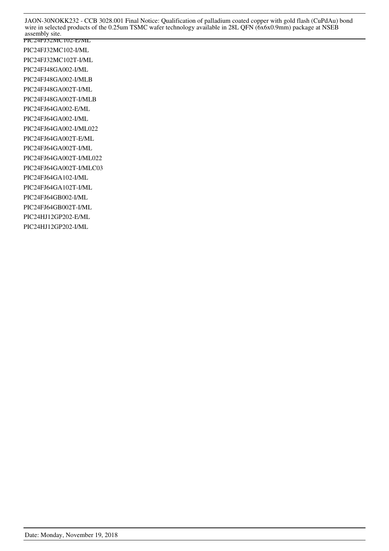JAON-30NOKK232 - CCB 3028.001 Final Notice: Qualification of palladium coated copper with gold flash (CuPdAu) bond wire in selected products of the 0.25um TSMC wafer technology available in 28L QFN (6x6x0.9mm) package at NSEB assembly site.

PIC24FJ32MC102-E/ML PIC24FJ32MC102-I/ML PIC24FJ32MC102T-I/ML PIC24FJ48GA002-I/ML PIC24FJ48GA002-I/MLB PIC24FJ48GA002T-I/ML PIC24FJ48GA002T-I/MLB PIC24FJ64GA002-E/ML PIC24FJ64GA002-I/ML PIC24FJ64GA002-I/ML022 PIC24FJ64GA002T-E/ML PIC24FJ64GA002T-I/ML PIC24FJ64GA002T-I/ML022 PIC24FJ64GA002T-I/MLC03 PIC24FJ64GA102-I/ML PIC24FJ64GA102T-I/ML PIC24FJ64GB002-I/ML PIC24FJ64GB002T-I/ML PIC24HJ12GP202-E/ML PIC24HJ12GP202-I/ML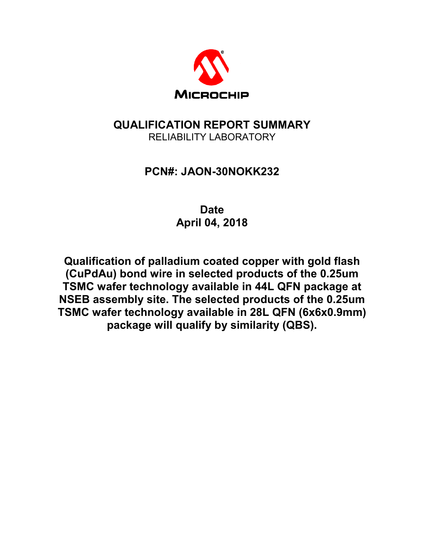

# **QUALIFICATION REPORT SUMMARY**  RELIABILITY LABORATORY

# **PCN#: JAON-30NOKK232**

**Date April 04, 2018** 

**Qualification of palladium coated copper with gold flash (CuPdAu) bond wire in selected products of the 0.25um TSMC wafer technology available in 44L QFN package at NSEB assembly site. The selected products of the 0.25um TSMC wafer technology available in 28L QFN (6x6x0.9mm) package will qualify by similarity (QBS).**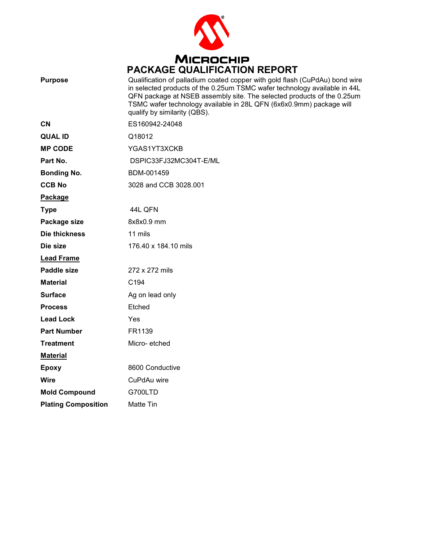

| <b>Purpose</b>             | Qualification of palladium coated copper with gold flash (CuPdAu) bond wire<br>in selected products of the 0.25um TSMC wafer technology available in 44L<br>QFN package at NSEB assembly site. The selected products of the 0.25um<br>TSMC wafer technology available in 28L QFN (6x6x0.9mm) package will<br>qualify by similarity (QBS). |
|----------------------------|-------------------------------------------------------------------------------------------------------------------------------------------------------------------------------------------------------------------------------------------------------------------------------------------------------------------------------------------|
| <b>CN</b>                  | ES160942-24048                                                                                                                                                                                                                                                                                                                            |
| <b>QUAL ID</b>             | Q18012                                                                                                                                                                                                                                                                                                                                    |
| <b>MP CODE</b>             | YGAS1YT3XCKB                                                                                                                                                                                                                                                                                                                              |
| Part No.                   | DSPIC33FJ32MC304T-E/ML                                                                                                                                                                                                                                                                                                                    |
| <b>Bonding No.</b>         | BDM-001459                                                                                                                                                                                                                                                                                                                                |
| <b>CCB No</b>              | 3028 and CCB 3028.001                                                                                                                                                                                                                                                                                                                     |
| Package                    |                                                                                                                                                                                                                                                                                                                                           |
| <b>Type</b>                | 44L QFN                                                                                                                                                                                                                                                                                                                                   |
| Package size               | 8x8x0.9 mm                                                                                                                                                                                                                                                                                                                                |
| Die thickness              | 11 mils                                                                                                                                                                                                                                                                                                                                   |
| Die size                   | 176.40 x 184.10 mils                                                                                                                                                                                                                                                                                                                      |
| <b>Lead Frame</b>          |                                                                                                                                                                                                                                                                                                                                           |
| <b>Paddle size</b>         | 272 x 272 mils                                                                                                                                                                                                                                                                                                                            |
| <b>Material</b>            | C <sub>194</sub>                                                                                                                                                                                                                                                                                                                          |
| <b>Surface</b>             | Ag on lead only                                                                                                                                                                                                                                                                                                                           |
| <b>Process</b>             | Etched                                                                                                                                                                                                                                                                                                                                    |
| <b>Lead Lock</b>           | Yes                                                                                                                                                                                                                                                                                                                                       |
| <b>Part Number</b>         | FR1139                                                                                                                                                                                                                                                                                                                                    |
| <b>Treatment</b>           | Micro-etched                                                                                                                                                                                                                                                                                                                              |
| <b>Material</b>            |                                                                                                                                                                                                                                                                                                                                           |
| <b>Epoxy</b>               | 8600 Conductive                                                                                                                                                                                                                                                                                                                           |
| <b>Wire</b>                | CuPdAu wire                                                                                                                                                                                                                                                                                                                               |
| <b>Mold Compound</b>       | G700LTD                                                                                                                                                                                                                                                                                                                                   |
| <b>Plating Composition</b> | Matte Tin                                                                                                                                                                                                                                                                                                                                 |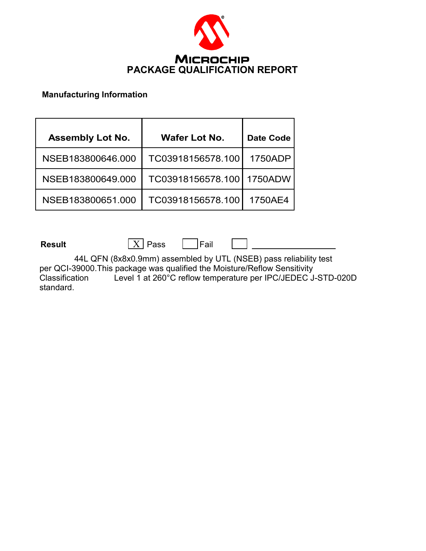

#### **Manufacturing Information**

| <b>Assembly Lot No.</b> | <b>Wafer Lot No.</b> | <b>Date Code</b> |
|-------------------------|----------------------|------------------|
| NSEB183800646.000       | TC03918156578.100    | 1750ADP          |
| NSEB183800649.000       | TC03918156578.100    | 1750ADW          |
| NSEB183800651.000       | TC03918156578.100    | 1750AE4          |

**Result**  $\boxed{X}$  Pass  $\boxed{P}$  Fail

44L QFN (8x8x0.9mm) assembled by UTL (NSEB) pass reliability test per QCI-39000.This package was qualified the Moisture/Reflow Sensitivity Classification Level 1 at 260°C reflow temperature per IPC/JEDEC J-STD-020D standard.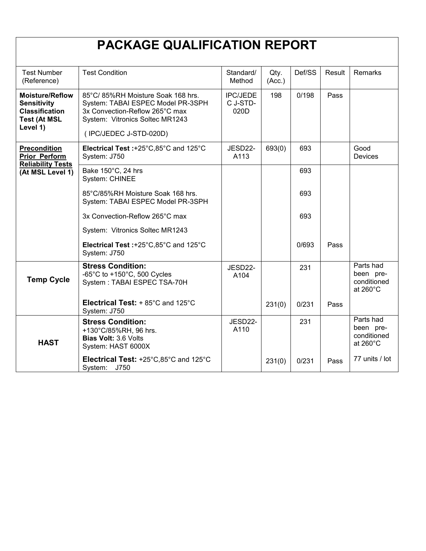# **PACKAGE QUALIFICATION REPORT**

| <b>Test Number</b><br>(Reference)                                                                        | <b>Test Condition</b>                                                                                                                                                 | Standard/<br>Method                 | Qty.<br>(Acc.) | Def/SS | Result | Remarks                                                     |
|----------------------------------------------------------------------------------------------------------|-----------------------------------------------------------------------------------------------------------------------------------------------------------------------|-------------------------------------|----------------|--------|--------|-------------------------------------------------------------|
| <b>Moisture/Reflow</b><br><b>Sensitivity</b><br><b>Classification</b><br><b>Test (At MSL</b><br>Level 1) | 85°C/85%RH Moisture Soak 168 hrs.<br>System: TABAI ESPEC Model PR-3SPH<br>3x Convection-Reflow 265°C max<br>System: Vitronics Soltec MR1243<br>(IPC/JEDEC J-STD-020D) | <b>IPC/JEDE</b><br>C J-STD-<br>020D | 198            | 0/198  | Pass   |                                                             |
| <b>Precondition</b><br><b>Prior Perform</b><br><b>Reliability Tests</b>                                  | Electrical Test :+25°C,85°C and 125°C<br>System: J750                                                                                                                 | JESD22-<br>A113                     | 693(0)         | 693    |        | Good<br><b>Devices</b>                                      |
| (At MSL Level 1)                                                                                         | Bake 150°C, 24 hrs<br>System: CHINEE                                                                                                                                  |                                     |                | 693    |        |                                                             |
|                                                                                                          | 85°C/85%RH Moisture Soak 168 hrs.<br>System: TABAI ESPEC Model PR-3SPH                                                                                                |                                     |                | 693    |        |                                                             |
|                                                                                                          | 3x Convection-Reflow 265°C max                                                                                                                                        |                                     |                | 693    |        |                                                             |
|                                                                                                          | System: Vitronics Soltec MR1243                                                                                                                                       |                                     |                |        |        |                                                             |
|                                                                                                          | Electrical Test: +25°C,85°C and 125°C<br>System: J750                                                                                                                 |                                     |                | 0/693  | Pass   |                                                             |
| <b>Temp Cycle</b>                                                                                        | <b>Stress Condition:</b><br>-65°C to +150°C, 500 Cycles<br>System: TABAI ESPEC TSA-70H                                                                                | JESD22-<br>A104                     |                | 231    |        | Parts had<br>been pre-<br>conditioned<br>at $260^{\circ}$ C |
|                                                                                                          | Electrical Test: + 85°C and 125°C<br>System: J750                                                                                                                     |                                     | 231(0)         | 0/231  | Pass   |                                                             |
| <b>HAST</b>                                                                                              | <b>Stress Condition:</b><br>+130°C/85%RH, 96 hrs.<br>Bias Volt: 3.6 Volts<br>System: HAST 6000X                                                                       | JESD22-<br>A110                     |                | 231    |        | Parts had<br>been pre-<br>conditioned<br>at $260^{\circ}$ C |
|                                                                                                          | Electrical Test: +25°C,85°C and 125°C<br>System: J750                                                                                                                 |                                     | 231(0)         | 0/231  | Pass   | 77 units / lot                                              |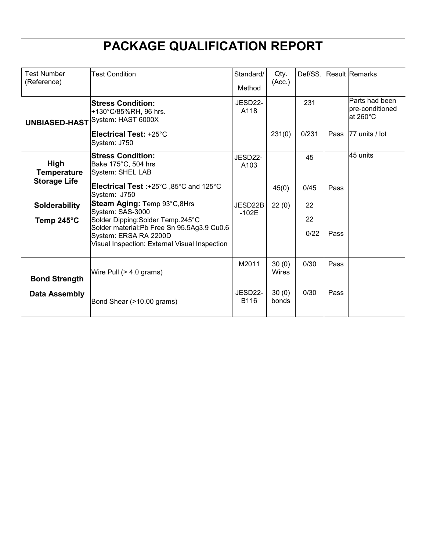| <b>PACKAGE QUALIFICATION REPORT</b> |                                                                                  |                     |                |            |      |                                               |  |
|-------------------------------------|----------------------------------------------------------------------------------|---------------------|----------------|------------|------|-----------------------------------------------|--|
| <b>Test Number</b><br>(Reference)   | <b>Test Condition</b>                                                            | Standard/<br>Method | Qty.<br>(Acc.) | Def/SS.    |      | <b>Result Remarks</b>                         |  |
| <b>UNBIASED-HAST</b>                | <b>Stress Condition:</b><br>+130°C/85%RH, 96 hrs.<br>System: HAST 6000X          | JESD22-<br>A118     |                | 231        |      | Parts had been<br>pre-conditioned<br>at 260°C |  |
|                                     | Electrical Test: +25°C<br>System: J750                                           |                     | 231(0)         | 0/231      | Pass | 77 units / lot                                |  |
| High<br><b>Temperature</b>          | <b>Stress Condition:</b><br>Bake 175°C, 504 hrs<br>System: SHEL LAB              | JESD22-<br>A103     |                | 45         |      | 45 units                                      |  |
| <b>Storage Life</b>                 | Electrical Test :+25°C ,85°C and 125°C<br>System: J750                           |                     | 45(0)          | 0/45       | Pass |                                               |  |
| Solderability                       | Steam Aging: Temp 93°C,8Hrs<br>System: SAS-3000                                  | JESD22B<br>$-102E$  | 22(0)          | 22         |      |                                               |  |
| Temp 245°C                          | Solder Dipping: Solder Temp.245°C<br>Solder material: Pb Free Sn 95.5Ag3.9 Cu0.6 |                     |                | 22<br>0/22 | Pass |                                               |  |
|                                     | System: ERSA RA 2200D<br>Visual Inspection: External Visual Inspection           |                     |                |            |      |                                               |  |
| <b>Bond Strength</b>                | Wire Pull $(> 4.0$ grams)                                                        | M2011               | 30(0)<br>Wires | 0/30       | Pass |                                               |  |
| <b>Data Assembly</b>                | Bond Shear (>10.00 grams)                                                        | JESD22-<br>B116     | 30(0)<br>bonds | 0/30       | Pass |                                               |  |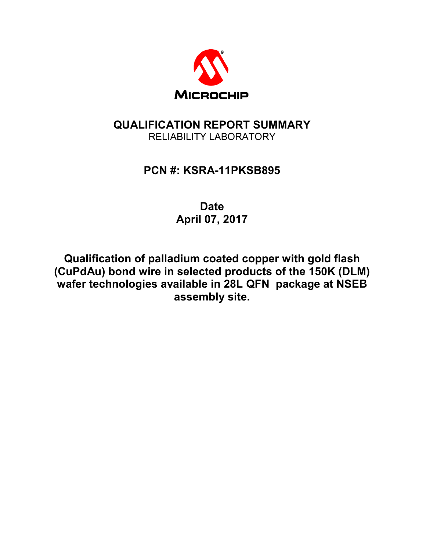

# **QUALIFICATION REPORT SUMMARY**  RELIABILITY LABORATORY

# **PCN #: KSRA-11PKSB895**

**Date April 07, 2017** 

**Qualification of palladium coated copper with gold flash (CuPdAu) bond wire in selected products of the 150K (DLM) wafer technologies available in 28L QFN package at NSEB assembly site.**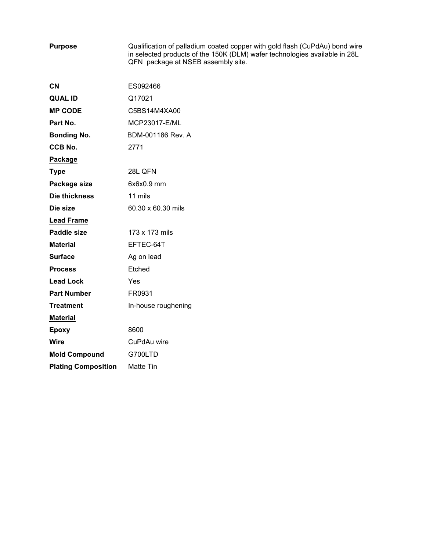**Purpose** Qualification of palladium coated copper with gold flash (CuPdAu) bond wire in selected products of the 150K (DLM) wafer technologies available in 28L QFN package at NSEB assembly site.

| CN                         | ES092466             |
|----------------------------|----------------------|
| <b>QUAL ID</b>             | Q17021               |
| <b>MP CODE</b>             | C5BS14M4XA00         |
| Part No.                   | <b>MCP23017-E/ML</b> |
| <b>Bonding No.</b>         | BDM-001186 Rev. A    |
| <b>CCB No.</b>             | 2771                 |
| Package                    |                      |
| <b>Type</b>                | 28L QFN              |
| Package size               | $6x6x0.9$ mm         |
| Die thickness              | 11 mils              |
| Die size                   | 60.30 x 60.30 mils   |
| <b>Lead Frame</b>          |                      |
| <b>Paddle size</b>         | 173 x 173 mils       |
| <b>Material</b>            | EFTEC-64T            |
| <b>Surface</b>             | Ag on lead           |
| <b>Process</b>             | Etched               |
| <b>Lead Lock</b>           | Yes                  |
| <b>Part Number</b>         | FR0931               |
| <b>Treatment</b>           | In-house roughening  |
| <b>Material</b>            |                      |
| <b>Epoxy</b>               | 8600                 |
| Wire                       | CuPdAu wire          |
| <b>Mold Compound</b>       | G700LTD              |
| <b>Plating Composition</b> | Matte Tin            |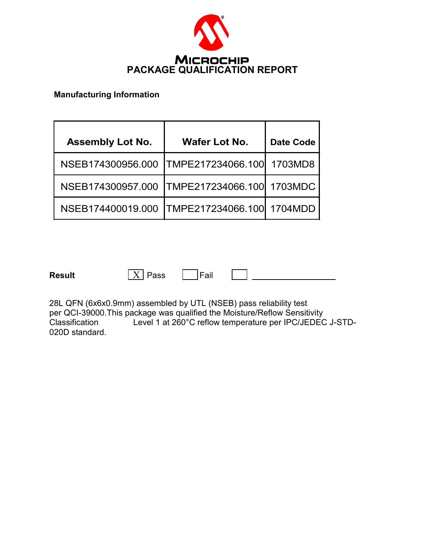

#### **Manufacturing Information**

| <b>Assembly Lot No.</b> | <b>Wafer Lot No.</b> | <b>Date Code</b> |
|-------------------------|----------------------|------------------|
| NSEB174300956.000       | TMPE217234066.100    | 1703MD8          |
| NSEB174300957.000       | TMPE217234066.100    | 1703MDC          |
| NSEB174400019.000       | TMPE217234066.100    | 1704MDD          |

**Result**  $\boxed{X}$  Pass  $\boxed{P}$  Fail

28L QFN (6x6x0.9mm) assembled by UTL (NSEB) pass reliability test per QCI-39000.This package was qualified the Moisture/Reflow Sensitivity<br>Classification Level 1 at 260°C reflow temperature per IPC/JEDEC Level 1 at 260°C reflow temperature per IPC/JEDEC J-STD-020D standard.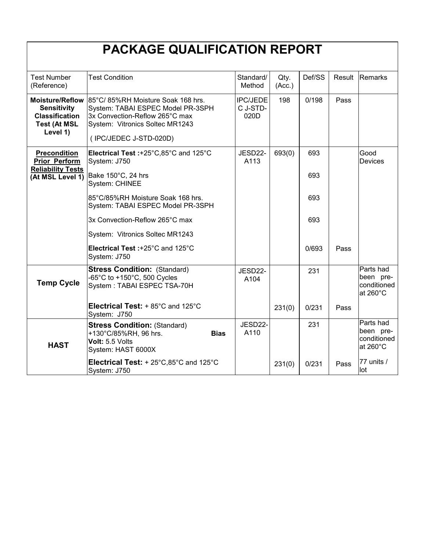|                                                                                      | <b>PACKAGE QUALIFICATION REPORT</b>                                                                                                                                                   |                                     |                |            |        |                                                             |
|--------------------------------------------------------------------------------------|---------------------------------------------------------------------------------------------------------------------------------------------------------------------------------------|-------------------------------------|----------------|------------|--------|-------------------------------------------------------------|
| <b>Test Number</b><br>(Reference)                                                    | <b>Test Condition</b>                                                                                                                                                                 | Standard/<br>Method                 | Qty.<br>(Acc.) | Def/SS     | Result | Remarks                                                     |
| <b>Sensitivity</b><br><b>Classification</b><br><b>Test (At MSL</b><br>Level 1)       | Moisture/Reflow 85°C/85%RH Moisture Soak 168 hrs.<br>System: TABAI ESPEC Model PR-3SPH<br>3x Convection-Reflow 265°C max<br>System: Vitronics Soltec MR1243<br>(IPC/JEDEC J-STD-020D) | <b>IPC/JEDE</b><br>C J-STD-<br>020D | 198            | 0/198      | Pass   |                                                             |
| <b>Precondition</b><br>Prior Perform<br><b>Reliability Tests</b><br>(At MSL Level 1) | Electrical Test: +25°C,85°C and 125°C<br>System: J750<br>Bake 150°C, 24 hrs                                                                                                           | JESD22-<br>A113                     | 693(0)         | 693<br>693 |        | Good<br>Devices                                             |
|                                                                                      | System: CHINEE<br>85°C/85%RH Moisture Soak 168 hrs.<br>System: TABAI ESPEC Model PR-3SPH                                                                                              |                                     |                | 693        |        |                                                             |
|                                                                                      | 3x Convection-Reflow 265°C max                                                                                                                                                        |                                     |                | 693        |        |                                                             |
|                                                                                      | System: Vitronics Soltec MR1243                                                                                                                                                       |                                     |                |            |        |                                                             |
|                                                                                      | Electrical Test: +25°C and 125°C<br>System: J750                                                                                                                                      |                                     |                | 0/693      | Pass   |                                                             |
| <b>Temp Cycle</b>                                                                    | <b>Stress Condition: (Standard)</b><br>-65°C to +150°C, 500 Cycles<br>System: TABAI ESPEC TSA-70H                                                                                     | JESD22-<br>A104                     |                | 231        |        | Parts had<br>been pre-<br>conditioned<br>at 260°C           |
|                                                                                      | Electrical Test: + 85°C and 125°C<br>System: J750                                                                                                                                     |                                     | 231(0)         | 0/231      | Pass   |                                                             |
| <b>HAST</b>                                                                          | <b>Stress Condition: (Standard)</b><br>+130°C/85%RH, 96 hrs.<br><b>Bias</b><br>Volt: 5.5 Volts<br>System: HAST 6000X                                                                  | JESD22-<br>A110                     |                | 231        |        | Parts had<br>been pre-<br>conditioned<br>at $260^{\circ}$ C |
|                                                                                      | <b>Electrical Test:</b> $+ 25^{\circ}$ C,85 $^{\circ}$ C and 125 $^{\circ}$ C<br>System: J750                                                                                         |                                     | 231(0)         | 0/231      | Pass   | 77 units /<br>lot                                           |